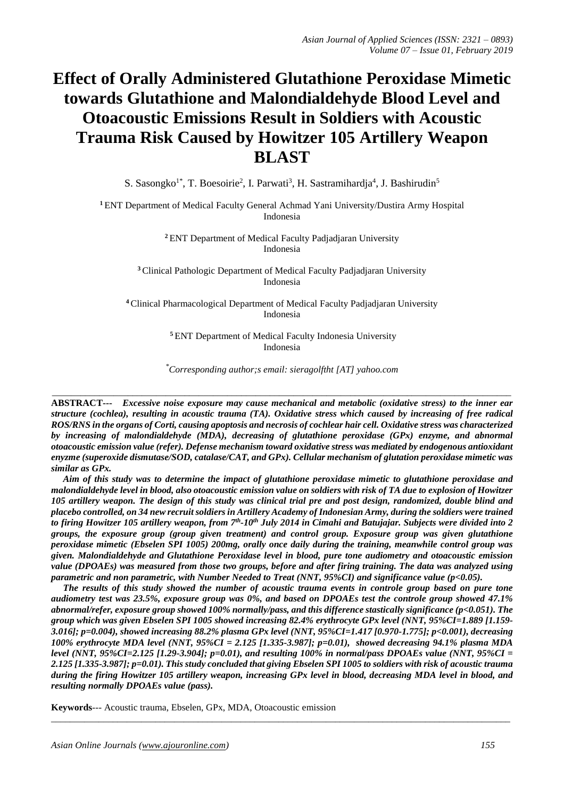# **Effect of Orally Administered Glutathione Peroxidase Mimetic towards Glutathione and Malondialdehyde Blood Level and Otoacoustic Emissions Result in Soldiers with Acoustic Trauma Risk Caused by Howitzer 105 Artillery Weapon BLAST**

S. Sasongko<sup>1\*</sup>, T. Boesoirie<sup>2</sup>, I. Parwati<sup>3</sup>, H. Sastramihardja<sup>4</sup>, J. Bashirudin<sup>5</sup>

**<sup>1</sup>** ENT Department of Medical Faculty General Achmad Yani University/Dustira Army Hospital Indonesia

> **<sup>2</sup>** ENT Department of Medical Faculty Padjadjaran University Indonesia

**<sup>3</sup>** Clinical Pathologic Department of Medical Faculty Padjadjaran University Indonesia

**<sup>4</sup>** Clinical Pharmacological Department of Medical Faculty Padjadjaran University Indonesia

> **<sup>5</sup>** ENT Department of Medical Faculty Indonesia University Indonesia

*\*Corresponding author;s email: sieragolftht [AT] yahoo.com*

*\_\_\_\_\_\_\_\_\_\_\_\_\_\_\_\_\_\_\_\_\_\_\_\_\_\_\_\_\_\_\_\_\_\_\_\_\_\_\_\_\_\_\_\_\_\_\_\_\_\_\_\_\_\_\_\_\_\_\_\_\_\_\_\_\_\_\_\_\_\_\_\_\_\_\_\_\_\_\_\_\_\_\_\_\_\_\_\_\_\_\_\_\_\_\_\_\_*

**ABSTRACT---** *Excessive noise exposure may cause mechanical and metabolic (oxidative stress) to the inner ear* structure (cochlea), resulting in acoustic trauma (TA). Oxidative stress which caused by increasing of free radical ROS/RNS in the organs of Corti, causing apoptosis and necrosis of cochlear hair cell. Oxidative stress was characterized *by increasing of malondialdehyde (MDA), decreasing of glutathione peroxidase (GPx) enzyme, and abnormal otoacoustic emission value (refer). Defense mechanism toward oxidative stress was mediated by endogenous antioxidant enyzme (superoxide dismutase/SOD, catalase/CAT, and GPx). Cellular mechanism of glutation peroxidase mimetic was similar as GPx.*

Aim of this study was to determine the impact of glutathione peroxidase mimetic to glutathione peroxidase and malondialdehyde level in blood, also otoacoustic emission value on soldiers with risk of TA due to explosion of Howitzer 105 artillery weapon. The design of this study was clinical trial pre and post design, randomized, double blind and placebo controlled, on 34 new recruit soldiers in Artillery Academy of Indonesian Army, during the soldiers were trained to firing Howitzer 105 artillery weapon, from 7th-10th July 2014 in Cimahi and Batujajar. Subjects were divided into 2 *groups, the exposure group (group given treatment) and control group. Exposure group was given glutathione peroxidase mimetic (Ebselen SPI 1005) 200mg, orally once daily during the training, meanwhile control group was given. Malondialdehyde and Glutathione Peroxidase level in blood, pure tone audiometry and otoacoustic emission* value (DPOAEs) was measured from those two groups, before and after firing training. The data was analyzed using *parametric and non parametric, with Number Needed to Treat (NNT, 95%CI) and significance value (p<0.05).*

The results of this study showed the number of acoustic trauma events in controle group based on pure tone audiometry test was 23.5%, exposure group was 0%, and based on DPOAEs test the controle group showed 47.1% *abnormal/refer, exposure group showed 100% normally/pass, and this difference stastically significance (p<0.051). The group which was given Ebselen SPI 1005 showed increasing 82.4% erythrocyte GPx level (NNT, 95%CI=1.889 [1.159- 3.016]; p=0.004), showed increasing 88.2% plasma GPx level (NNT, 95%CI=1.417 [0.970-1.775]; p<0.001), decreasing 100% erythrocyte MDA level (NNT, 95%CI = 2.125 [1.335-3.987]; p=0.01), showed decreasing 94.1% plasma MDA level (NNT, 95%CI=2.125 [1.29-3.904]; p=0.01), and resulting 100% in normal/pass DPOAEs value (NNT, 95%CI =* 2.125 [1.335-3.987]; p=0.01). This study concluded that giving Ebselen SPI 1005 to soldiers with risk of acoustic trauma during the firing Howitzer 105 artillery weapon, increasing GPx level in blood, decreasing MDA level in blood, and *resulting normally DPOAEs value (pass).*

\_\_\_\_\_\_\_\_\_\_\_\_\_\_\_\_\_\_\_\_\_\_\_\_\_\_\_\_\_\_\_\_\_\_\_\_\_\_\_\_\_\_\_\_\_\_\_\_\_\_\_\_\_\_\_\_\_\_\_\_\_\_\_\_\_\_\_\_\_\_\_\_\_\_\_\_\_\_\_\_\_\_\_\_\_\_\_\_\_\_\_\_\_\_\_\_\_

**Keywords***---* Acoustic trauma, Ebselen, GPx, MDA, Otoacoustic emission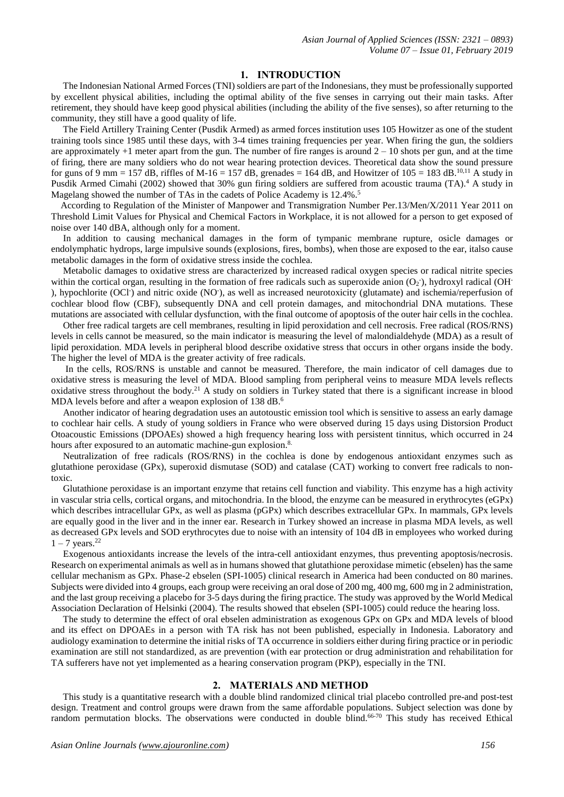## **1. INTRODUCTION**

 The Indonesian National Armed Forces(TNI) soldiers are part of the Indonesians, they must be professionally supported by excellent physical abilities, including the optimal ability of the five senses in carrying out their main tasks. After retirement, they should have keep good physical abilities (including the ability of the five senses), so after returning to the community, they still have a good quality of life.

The Field Artillery Training Center (Pusdik Armed) as armed forces institution uses 105 Howitzer as one of the student training tools since 1985 until these days, with 3-4 times training frequencies per year. When firing the gun, the soldiers are approximately  $+1$  meter apart from the gun. The number of fire ranges is around  $2 - 10$  shots per gun, and at the time of firing, there are many soldiers who do not wear hearing protection devices. Theoretical data show the sound pressure for guns of 9 mm = 157 dB, riffles of M-16 = 157 dB, grenades = 164 dB, and Howitzer of 105 = 183 dB.<sup>10,11</sup> A study in Pusdik Armed Cimahi (2002) showed that 30% gun firing soldiers are suffered from acoustic trauma (TA).<sup>4</sup> A study in Magelang showed the number of TAs in the cadets of Police Academy is 12.4%. 5

 According to Regulation of the Minister of Manpower and Transmigration Number Per.13/Men/X/2011 Year 2011 on Threshold Limit Values for Physical and Chemical Factors in Workplace, it is not allowed for a person to get exposed of noise over 140 dBA, although only for a moment.

In addition to causing mechanical damages in the form of tympanic membrane rupture, osicle damages or endolymphatic hydrops, large impulsive sounds (explosions, fires, bombs), when those are exposed to the ear, italso cause metabolic damages in the form of oxidative stress inside the cochlea.

 Metabolic damages to oxidative stress are characterized by increased radical oxygen species or radical nitrite species within the cortical organ, resulting in the formation of free radicals such as superoxide anion  $(O_2)$ , hydroxyl radical (OH ), hypochlorite (OCl<sup>-</sup>) and nitric oxide (NO<sup>-</sup>), as well as increased neurotoxicity (glutamate) and ischemia/reperfusion of cochlear blood flow (CBF), subsequently DNA and cell protein damages, and mitochondrial DNA mutations. These mutations are associated with cellular dysfunction, with the final outcome of apoptosis of the outer hair cells in the cochlea.

Other free radical targets are cell membranes, resulting in lipid peroxidation and cell necrosis. Free radical (ROS/RNS) levels in cells cannot be measured, so the main indicator is measuring the level of malondialdehyde (MDA) as a result of lipid peroxidation. MDA levels in peripheral blood describe oxidative stress that occurs in other organs inside the body. The higher the level of MDA is the greater activity of free radicals.

 In the cells, ROS/RNS is unstable and cannot be measured. Therefore, the main indicator of cell damages due to oxidative stress is measuring the level of MDA. Blood sampling from peripheral veins to measure MDA levels reflects oxidative stress throughout the body.<sup>21</sup> A study on soldiers in Turkey stated that there is a significant increase in blood MDA levels before and after a weapon explosion of 138 dB.<sup>6</sup>

Another indicator of hearing degradation uses an autotoustic emission tool which is sensitive to assess an early damage to cochlear hair cells. A study of young soldiers in France who were observed during 15 days using Distorsion Product Otoacoustic Emissions (DPOAEs) showed a high frequency hearing loss with persistent tinnitus, which occurred in 24 hours after exposured to an automatic machine-gun explosion.<sup>8.</sup>

 Neutralization of free radicals (ROS/RNS) in the cochlea is done by endogenous antioxidant enzymes such as glutathione peroxidase (GPx), superoxid dismutase (SOD) and catalase (CAT) working to convert free radicals to nontoxic.

Glutathione peroxidase is an important enzyme that retains cell function and viability. This enzyme has a high activity in vascular stria cells, cortical organs, and mitochondria. In the blood, the enzyme can be measured in erythrocytes (eGPx) which describes intracellular GPx, as well as plasma (pGPx) which describes extracellular GPx. In mammals, GPx levels are equally good in the liver and in the inner ear. Research in Turkey showed an increase in plasma MDA levels, as well as decreased GPx levels and SOD erythrocytes due to noise with an intensity of 104 dB in employees who worked during  $1 - 7$  years.<sup>22</sup>

 Exogenous antioxidants increase the levels of the intra-cell antioxidant enzymes, thus preventing apoptosis/necrosis. Research on experimental animals as well as in humans showed that glutathione peroxidase mimetic (ebselen) has the same cellular mechanism as GPx. Phase-2 ebselen (SPI-1005) clinical research in America had been conducted on 80 marines. Subjects were divided into 4 groups, each group were receiving an oral dose of 200 mg, 400 mg, 600 mg in 2 administration, and the last group receiving a placebo for 3-5 days during the firing practice. The study was approved by the World Medical Association Declaration of Helsinki (2004). The results showed that ebselen (SPI-1005) could reduce the hearing loss.

The study to determine the effect of oral ebselen administration as exogenous GPx on GPx and MDA levels of blood and its effect on DPOAEs in a person with TA risk has not been published, especially in Indonesia. Laboratory and audiology examination to determine the initial risks of TA occurrence in soldiers either during firing practice or in periodic examination are still not standardized, as are prevention (with ear protection or drug administration and rehabilitation for TA sufferers have not yet implemented as a hearing conservation program (PKP), especially in the TNI.

# **2. MATERIALS AND METHOD**

 This study is a quantitative research with a double blind randomized clinical trial placebo controlled pre-and post-test design. Treatment and control groups were drawn from the same affordable populations. Subject selection was done by random permutation blocks. The observations were conducted in double blind.<sup>66-70</sup> This study has received Ethical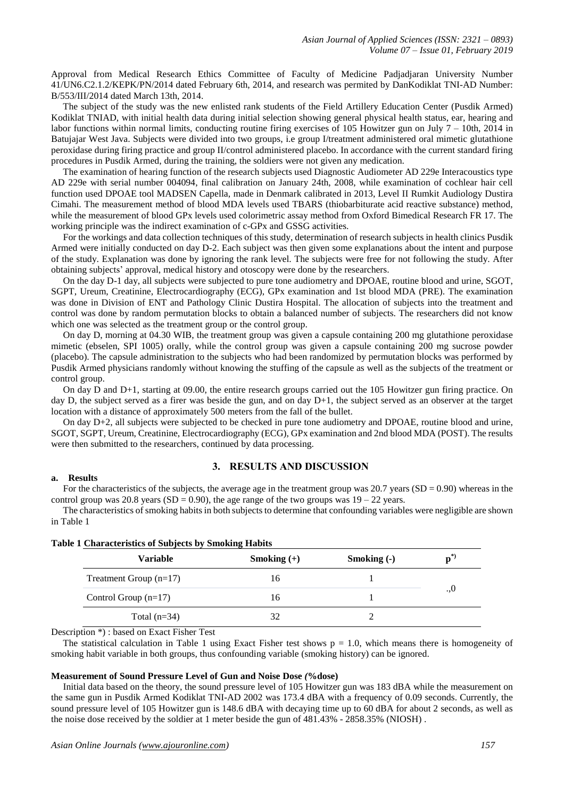Approval from Medical Research Ethics Committee of Faculty of Medicine Padjadjaran University Number 41/UN6.C2.1.2/KEPK/PN/2014 dated February 6th, 2014, and research was permited by DanKodiklat TNI-AD Number: B/553/III/2014 dated March 13th, 2014.

The subject of the study was the new enlisted rank students of the Field Artillery Education Center (Pusdik Armed) Kodiklat TNIAD, with initial health data during initial selection showing general physical health status, ear, hearing and labor functions within normal limits, conducting routine firing exercises of 105 Howitzer gun on July 7 – 10th, 2014 in Batujajar West Java. Subjects were divided into two groups, i.e group I/treatment administered oral mimetic glutathione peroxidase during firing practice and group II/control administered placebo. In accordance with the current standard firing procedures in Pusdik Armed, during the training, the soldiers were not given any medication.

 The examination of hearing function of the research subjects used Diagnostic Audiometer AD 229e Interacoustics type AD 229e with serial number 004094, final calibration on January 24th, 2008, while examination of cochlear hair cell function used DPOAE tool MADSEN Capella, made in Denmark calibrated in 2013, Level II Rumkit Audiology Dustira Cimahi. The measurement method of blood MDA levels used TBARS (thiobarbiturate acid reactive substance) method, while the measurement of blood GPx levels used colorimetric assay method from Oxford Bimedical Research FR 17. The working principle was the indirect examination of c-GPx and GSSG activities.

For the workings and data collection techniques of this study, determination of research subjects in health clinics Pusdik Armed were initially conducted on day D-2. Each subject was then given some explanations about the intent and purpose of the study. Explanation was done by ignoring the rank level. The subjects were free for not following the study. After obtaining subjects' approval, medical history and otoscopy were done by the researchers.

 On the day D-1 day, all subjects were subjected to pure tone audiometry and DPOAE, routine blood and urine, SGOT, SGPT, Ureum, Creatinine, Electrocardiography (ECG), GPx examination and 1st blood MDA (PRE). The examination was done in Division of ENT and Pathology Clinic Dustira Hospital. The allocation of subjects into the treatment and control was done by random permutation blocks to obtain a balanced number of subjects. The researchers did not know which one was selected as the treatment group or the control group.

On day D, morning at 04.30 WIB, the treatment group was given a capsule containing 200 mg glutathione peroxidase mimetic (ebselen, SPI 1005) orally, while the control group was given a capsule containing 200 mg sucrose powder (placebo). The capsule administration to the subjects who had been randomized by permutation blocks was performed by Pusdik Armed physicians randomly without knowing the stuffing of the capsule as well as the subjects of the treatment or control group.

 On day D and D+1, starting at 09.00, the entire research groups carried out the 105 Howitzer gun firing practice. On day D, the subject served as a firer was beside the gun, and on day D+1, the subject served as an observer at the target location with a distance of approximately 500 meters from the fall of the bullet.

On day D+2, all subjects were subjected to be checked in pure tone audiometry and DPOAE, routine blood and urine, SGOT, SGPT, Ureum, Creatinine, Electrocardiography (ECG), GPx examination and 2nd blood MDA (POST). The results were then submitted to the researchers, continued by data processing.

#### **a. Results**

For the characteristics of the subjects, the average age in the treatment group was  $20.7$  years (SD = 0.90) whereas in the control group was  $20.8$  years (SD = 0.90), the age range of the two groups was  $19 - 22$  years.

**3. RESULTS AND DISCUSSION**

The characteristics of smoking habits in both subjects to determine that confounding variables were negligible are shown in Table 1

| <b>Variable</b>          | Smoking $(+)$ | Smoking $(-)$ | $\mathbf{p}^*$ |
|--------------------------|---------------|---------------|----------------|
| Treatment Group $(n=17)$ | 16            |               |                |
| Control Group $(n=17)$   | 16            |               | 0              |
| Total $(n=34)$           | 32            |               |                |

## **Table 1 Characteristics of Subjects by Smoking Habits**

Description \*) : based on Exact Fisher Test

The statistical calculation in Table 1 using Exact Fisher test shows  $p = 1.0$ , which means there is homogeneity of smoking habit variable in both groups, thus confounding variable (smoking history) can be ignored.

#### **Measurement of Sound Pressure Level of Gun and Noise Dose** *(***%dose)**

 Initial data based on the theory, the sound pressure level of 105 Howitzer gun was 183 dBA while the measurement on the same gun in Pusdik Armed Kodiklat TNI-AD 2002 was 173.4 dBA with a frequency of 0.09 seconds. Currently, the sound pressure level of 105 Howitzer gun is 148.6 dBA with decaying time up to 60 dBA for about 2 seconds, as well as the noise dose received by the soldier at 1 meter beside the gun of 481.43% - 2858.35% (NIOSH) .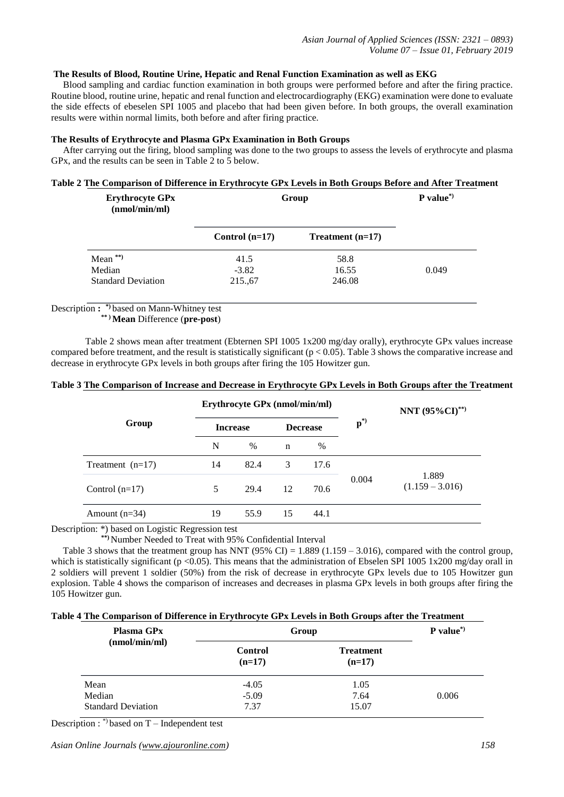## **The Results of Blood, Routine Urine, Hepatic and Renal Function Examination as well as EKG**

 Blood sampling and cardiac function examination in both groups were performed before and after the firing practice. Routine blood, routine urine, hepatic and renal function and electrocardiography (EKG) examination were done to evaluate the side effects of ebeselen SPI 1005 and placebo that had been given before. In both groups, the overall examination results were within normal limits, both before and after firing practice.

## **The Results of Erythrocyte and Plasma GPx Examination in Both Groups**

After carrying out the firing, blood sampling was done to the two groups to assess the levels of erythrocyte and plasma GPx, and the results can be seen in Table 2 to 5 below.

## **Table 2 The Comparison of Difference in Erythrocyte GPx Levels in Both Groups Before and After Treatment**

| <b>Erythrocyte GPx</b><br>(nmol/min/ml) |                  | Group              |       |  |
|-----------------------------------------|------------------|--------------------|-------|--|
|                                         | Control $(n=17)$ | Treatment $(n=17)$ |       |  |
| Mean $**$ )                             | 41.5             | 58.8               |       |  |
| Median                                  | $-3.82$          | 16.55              | 0.049 |  |
| <b>Standard Deviation</b>               | 215.,67          | 246.08             |       |  |

Description **: \*)** based on Mann-Whitney test

Table 2 shows mean after treatment (Ebternen SPI 1005 1x200 mg/day orally), erythrocyte GPx values increase compared before treatment, and the result is statistically significant ( $p < 0.05$ ). Table 3 shows the comparative increase and decrease in erythrocyte GPx levels in both groups after firing the 105 Howitzer gun.

| Table 3 The Comparison of Increase and Decrease in Erythrocyte GPx Levels in Both Groups after the Treatment |  |  |
|--------------------------------------------------------------------------------------------------------------|--|--|
|--------------------------------------------------------------------------------------------------------------|--|--|

|                      |    | Erythrocyte GPx (nmol/min/ml) |    |                 |                  | NNT (95%CI)**)             |
|----------------------|----|-------------------------------|----|-----------------|------------------|----------------------------|
| Group                |    | <b>Increase</b>               |    | <b>Decrease</b> | $\mathbf{p}^{*}$ |                            |
|                      | N  | $\frac{0}{0}$                 | n  | $\%$            |                  |                            |
| Treatment $(n=17)$   | 14 | 82.4                          | 3  | 17.6            |                  |                            |
| Control $(n=17)$     | 5  | 29.4                          | 12 | 70.6            | 0.004            | 1.889<br>$(1.159 - 3.016)$ |
| Amount $(n=34)$<br>. | 19 | 55.9                          | 15 | 44.1            |                  |                            |

Description: \*) based on Logistic Regression test

**\*\*)** Number Needed to Treat with 95% Confidential Interval

Table 3 shows that the treatment group has NNT (95% CI) = 1.889 (1.159 – 3.016), compared with the control group, which is statistically significant ( $p < 0.05$ ). This means that the administration of Ebselen SPI 1005 1x200 mg/day orall in 2 soldiers will prevent 1 soldier (50%) from the risk of decrease in erythrocyte GPx levels due to 105 Howitzer gun explosion. Table 4 shows the comparison of increases and decreases in plasma GPx levels in both groups after firing the 105 Howitzer gun.

|  |  | Table 4 The Comparison of Difference in Erythrocyte GPx Levels in Both Groups after the Treatment |
|--|--|---------------------------------------------------------------------------------------------------|
|  |  |                                                                                                   |

| Plasma GPx                |                            | Group                        | $P$ value <sup>*</sup> |
|---------------------------|----------------------------|------------------------------|------------------------|
| (nmol/min/ml)             | <b>Control</b><br>$(n=17)$ | <b>Treatment</b><br>$(n=17)$ |                        |
| Mean                      | $-4.05$                    | 1.05                         |                        |
| Median                    | $-5.09$                    | 7.64                         | 0.006                  |
| <b>Standard Deviation</b> | 7.37                       | 15.07                        |                        |

Description : \*) based on T – Independent test

**<sup>\*\*</sup> )Mean** Difference (**pre-post**)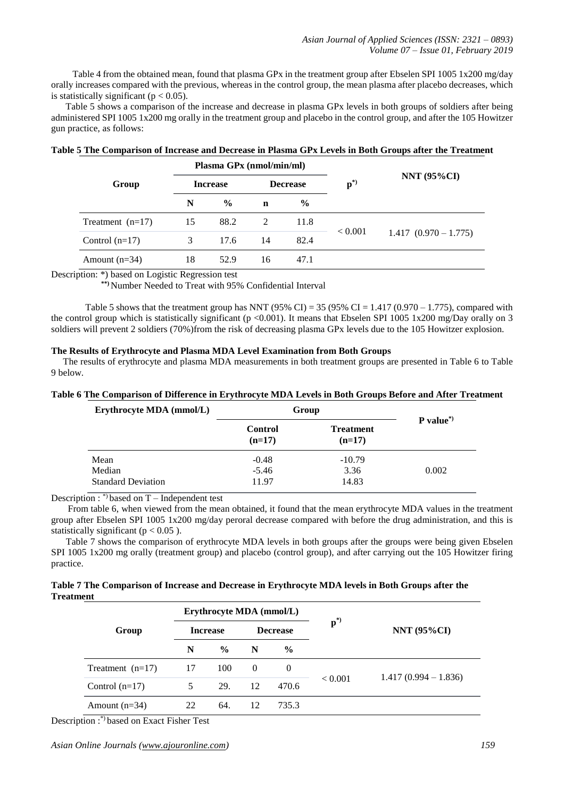Table 4 from the obtained mean, found that plasma GPx in the treatment group after Ebselen SPI 1005 1x200 mg/day orally increases compared with the previous, whereas in the control group, the mean plasma after placebo decreases, which is statistically significant ( $p < 0.05$ ).

Table 5 shows a comparison of the increase and decrease in plasma GPx levels in both groups of soldiers after being administered SPI 1005 1x200 mg orally in the treatment group and placebo in the control group, and after the 105 Howitzer gun practice, as follows:

|                    |    | Plasma GPx (nmol/min/ml) |                |                 |                |                        |  |
|--------------------|----|--------------------------|----------------|-----------------|----------------|------------------------|--|
| Group              |    | <b>Increase</b>          |                | <b>Decrease</b> | $\mathbf{p}^*$ | NNT $(95\%CI)$         |  |
|                    | N  | $\frac{0}{0}$            | n              | $\frac{6}{9}$   |                |                        |  |
| Treatment $(n=17)$ | 15 | 88.2                     | $\mathfrak{D}$ | 11.8            |                |                        |  |
| Control $(n=17)$   | 3  | 17.6                     | 14             | 82.4            | ${}_{< 0.001}$ | $1.417(0.970 - 1.775)$ |  |
| Amount $(n=34)$    | 18 | 52.9                     | 16             | 47.1            |                |                        |  |

Table 5 The Comparison of Increase and Decrease in Plasma GPx Levels in Both Groups after the Treatment

Description: \*) based on Logistic Regression test

**\*\*)** Number Needed to Treat with 95% Confidential Interval

Table 5 shows that the treatment group has NNT (95% CI) = 35 (95% CI = 1.417 (0.970 – 1.775), compared with the control group which is statistically significant ( $p < 0.001$ ). It means that Ebselen SPI 1005 1x200 mg/Day orally on 3 soldiers will prevent 2 soldiers (70%)from the risk of decreasing plasma GPx levels due to the 105 Howitzer explosion.

## **The Results of Erythrocyte and Plasma MDA Level Examination from Both Groups**

 The results of erythrocyte and plasma MDA measurements in both treatment groups are presented in Table 6 to Table 9 below.

|  |  | Table 6 The Comparison of Difference in Erythrocyte MDA Levels in Both Groups Before and After Treatment |
|--|--|----------------------------------------------------------------------------------------------------------|
|  |  |                                                                                                          |
|  |  |                                                                                                          |

| Erythrocyte MDA (mmol/L)  |                            | Group                        |                          |
|---------------------------|----------------------------|------------------------------|--------------------------|
|                           | <b>Control</b><br>$(n=17)$ | <b>Treatment</b><br>$(n=17)$ | $P$ value <sup>*</sup> ) |
| Mean                      | $-0.48$                    | $-10.79$                     |                          |
| Median                    | $-5.46$                    | 3.36                         | 0.002                    |
| <b>Standard Deviation</b> | 11.97                      | 14.83                        |                          |

Description : \*) based on T – Independent test

 From table 6, when viewed from the mean obtained, it found that the mean erythrocyte MDA values in the treatment group after Ebselen SPI 1005 1x200 mg/day peroral decrease compared with before the drug administration, and this is statistically significant ( $p < 0.05$ ).

Table 7 shows the comparison of erythrocyte MDA levels in both groups after the groups were being given Ebselen SPI 1005 1x200 mg orally (treatment group) and placebo (control group), and after carrying out the 105 Howitzer firing practice.

|                  | Table 7 The Comparison of Increase and Decrease in Erythrocyte MDA levels in Both Groups after the |  |  |
|------------------|----------------------------------------------------------------------------------------------------|--|--|
| <b>Treatment</b> |                                                                                                    |  |  |

|                    |    | Erythrocyte MDA (mmol/L) |          |                 |                  |                        |
|--------------------|----|--------------------------|----------|-----------------|------------------|------------------------|
| Group              |    | <b>Increase</b>          |          | <b>Decrease</b> | $\mathbf{p}^{*}$ | <b>NNT</b> (95%CI)     |
|                    | N  | $\frac{0}{0}$            | N        | $\frac{0}{0}$   |                  |                        |
| Treatment $(n=17)$ | 17 | 100                      | $\theta$ | $\theta$        |                  |                        |
| Control $(n=17)$   | 5  | 29.                      | 12       | 470.6           | < 0.001          | $1.417(0.994 - 1.836)$ |
| Amount $(n=34)$    | 22 | 64.                      | 12       | 735.3           |                  |                        |

Description : \*) based on Exact Fisher Test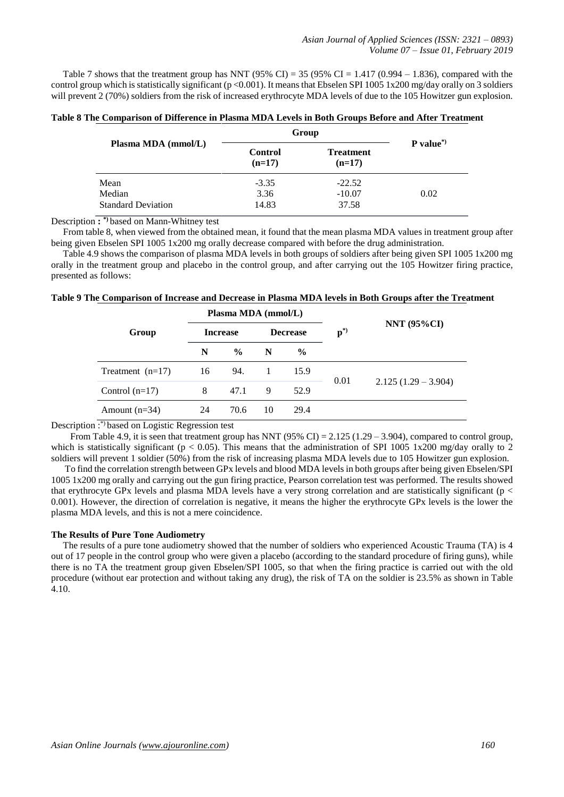Table 7 shows that the treatment group has NNT ( $95\%$  CI) = 35 ( $95\%$  CI = 1.417 (0.994 – 1.836), compared with the control group which is statistically significant ( $p < 0.001$ ). It means that Ebselen SPI 1005 1x200 mg/day orally on 3 soldiers will prevent 2 (70%) soldiers from the risk of increased erythrocyte MDA levels of due to the 105 Howitzer gun explosion.

|                           | Group                      |                              |                         |  |
|---------------------------|----------------------------|------------------------------|-------------------------|--|
| Plasma MDA (mmol/L)       | <b>Control</b><br>$(n=17)$ | <b>Treatment</b><br>$(n=17)$ | $P$ value <sup>*)</sup> |  |
| Mean                      | $-3.35$                    | $-22.52$                     |                         |  |
| Median                    | 3.36                       | $-10.07$                     | 0.02                    |  |
| <b>Standard Deviation</b> | 14.83                      | 37.58                        |                         |  |

|  |  | Table 8 The Comparison of Difference in Plasma MDA Levels in Both Groups Before and After Treatment |  |  |  |  |  |  |  |
|--|--|-----------------------------------------------------------------------------------------------------|--|--|--|--|--|--|--|
|--|--|-----------------------------------------------------------------------------------------------------|--|--|--|--|--|--|--|

Description **: \*)** based on Mann-Whitney test

 From table 8, when viewed from the obtained mean, it found that the mean plasma MDA values in treatment group after being given Ebselen SPI 1005 1x200 mg orally decrease compared with before the drug administration.

Table 4.9 shows the comparison of plasma MDA levels in both groups of soldiers after being given SPI 1005 1x200 mg orally in the treatment group and placebo in the control group, and after carrying out the 105 Howitzer firing practice, presented as follows:

Table 9 The Comparison of Increase and Decrease in Plasma MDA levels in Both Groups after the Treatment

|                    |                 | Plasma MDA (mmol/L) |                 |               |                |                       |  |  |
|--------------------|-----------------|---------------------|-----------------|---------------|----------------|-----------------------|--|--|
| Group              | <b>Increase</b> |                     | <b>Decrease</b> |               | $\mathbf{p}^*$ | NNT $(95\%CI)$        |  |  |
|                    | N               | $\frac{6}{10}$      | N               | $\frac{0}{0}$ |                |                       |  |  |
| Treatment $(n=17)$ | 16              | 94.                 | $\sim$ 1        | 15.9          | 0.01           | $2.125(1.29 - 3.904)$ |  |  |
| Control $(n=17)$   | 8               | 47.1                | 9               | 52.9          |                |                       |  |  |
| Amount $(n=34)$    | 24              | 70.6                | 10              | 29.4          |                |                       |  |  |

Description : \*) based on Logistic Regression test

From Table 4.9, it is seen that treatment group has NNT ( $95\%$  CI) = 2.125 (1.29 – 3.904), compared to control group, which is statistically significant ( $p < 0.05$ ). This means that the administration of SPI 1005 1x200 mg/day orally to 2 soldiers will prevent 1 soldier (50%) from the risk of increasing plasma MDA levels due to 105 Howitzer gun explosion.

To find the correlation strength between GPx levels and blood MDA levels in both groups after being given Ebselen/SPI 1005 1x200 mg orally and carrying out the gun firing practice, Pearson correlation test was performed. The results showed that erythrocyte GPx levels and plasma MDA levels have a very strong correlation and are statistically significant (p < 0.001). However, the direction of correlation is negative, it means the higher the erythrocyte GPx levels is the lower the plasma MDA levels, and this is not a mere coincidence.

# **The Results of Pure Tone Audiometry**

 The results of a pure tone audiometry showed that the number of soldiers who experienced Acoustic Trauma (TA) is 4 out of 17 people in the control group who were given a placebo (according to the standard procedure of firing guns), while there is no TA the treatment group given Ebselen/SPI 1005, so that when the firing practice is carried out with the old procedure (without ear protection and without taking any drug), the risk of TA on the soldier is 23.5% as shown in Table 4.10.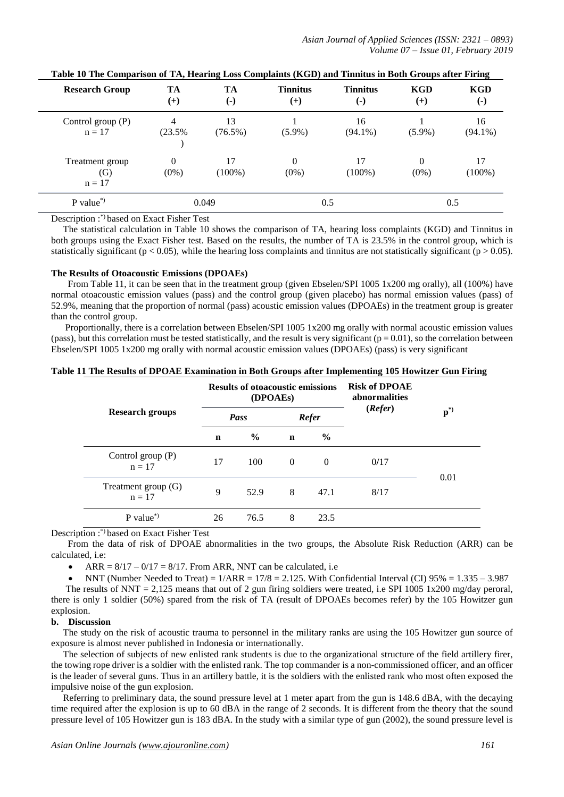*Asian Journal of Applied Sciences (ISSN: 2321 – 0893) Volume 07 – Issue 01, February 2019*

|                                    |                | $\overline{\phantom{a}}$     |                             |                                           |                        | ັ                                    |
|------------------------------------|----------------|------------------------------|-----------------------------|-------------------------------------------|------------------------|--------------------------------------|
| <b>Research Group</b>              | TA<br>$^{(+)}$ | TA<br>$\left( \cdot \right)$ | <b>Tinnitus</b><br>$^{(+)}$ | <b>Tinnitus</b><br>$\left( \cdot \right)$ | <b>KGD</b><br>$^{(+)}$ | <b>KGD</b><br>$\left( \cdot \right)$ |
| Control group (P)<br>$n = 17$      | 4<br>(23.5%    | 13<br>$(76.5\%)$             | $(5.9\%)$                   | 16<br>$(94.1\%)$                          | $(5.9\%)$              | 16<br>$(94.1\%)$                     |
| Treatment group<br>(G)<br>$n = 17$ | 0<br>$(0\%)$   | 17<br>$(100\%)$              | $\theta$<br>$(0\%)$         | 17<br>$(100\%)$                           | $\Omega$<br>$(0\%)$    | 17<br>$(100\%)$                      |
| $P$ value <sup>*</sup> )           | 0.049          |                              |                             | 0.5                                       | 0.5                    |                                      |

Description : \*) based on Exact Fisher Test

 The statistical calculation in Table 10 shows the comparison of TA, hearing loss complaints (KGD) and Tinnitus in both groups using the Exact Fisher test. Based on the results, the number of TA is 23.5% in the control group, which is statistically significant ( $p < 0.05$ ), while the hearing loss complaints and tinnitus are not statistically significant ( $p > 0.05$ ).

#### **The Results of Otoacoustic Emissions (DPOAEs)**

 From Table 11, it can be seen that in the treatment group (given Ebselen/SPI 1005 1x200 mg orally), all (100%) have normal otoacoustic emission values (pass) and the control group (given placebo) has normal emission values (pass) of 52.9%, meaning that the proportion of normal (pass) acoustic emission values (DPOAEs) in the treatment group is greater than the control group.

Proportionally, there is a correlation between Ebselen/SPI 1005 1x200 mg orally with normal acoustic emission values (pass), but this correlation must be tested statistically, and the result is very significant ( $p = 0.01$ ), so the correlation between Ebselen/SPI 1005 1x200 mg orally with normal acoustic emission values (DPOAEs) (pass) is very significant

#### **Table 11 The Results of DPOAE Examination in Both Groups after Implementing 105 Howitzer Gun Firing**

|                                   |      | <b>Results of otoacoustic emissions</b><br>(DPOAEs) |              | <b>Risk of DPOAE</b><br><i>abnormalities</i> |              |                |
|-----------------------------------|------|-----------------------------------------------------|--------------|----------------------------------------------|--------------|----------------|
| <b>Research groups</b>            | Pass |                                                     | Refer        |                                              | (Refer)      | $\mathbf{p}^*$ |
|                                   | n    | $\frac{6}{9}$                                       | $\mathbf n$  | $\frac{6}{9}$                                |              |                |
| Control group $(P)$<br>$n = 17$   | 17   | 100                                                 | $\mathbf{0}$ | $\Omega$                                     | 0/17         |                |
| Treatment group $(G)$<br>$n = 17$ | 9    | 52.9                                                | 8            | 47.1                                         | 0.01<br>8/17 |                |
| $P$ value <sup>*</sup> )          | 26   | 76.5                                                | 8            | 23.5                                         |              |                |

Description : \*) based on Exact Fisher Test

 From the data of risk of DPOAE abnormalities in the two groups, the Absolute Risk Reduction (ARR) can be calculated, i.e:

 $ARR = 8/17 - 0/17 = 8/17$ . From ARR, NNT can be calculated, i.e.

NNT (Number Needed to Treat) =  $1/ARR = 17/8 = 2.125$ . With Confidential Interval (CI)  $95\% = 1.335 - 3.987$ 

The results of NNT = 2,125 means that out of 2 gun firing soldiers were treated, i.e SPI 1005 1x200 mg/day peroral, there is only 1 soldier (50%) spared from the risk of TA (result of DPOAEs becomes refer) by the 105 Howitzer gun explosion.

#### **b. Discussion**

 The study on the risk of acoustic trauma to personnel in the military ranks are using the 105 Howitzer gun source of exposure is almost never published in Indonesia or internationally.

The selection of subjects of new enlisted rank students is due to the organizational structure of the field artillery firer, the towing rope driver is a soldier with the enlisted rank. The top commander is a non-commissioned officer, and an officer is the leader of several guns. Thus in an artillery battle, it is the soldiers with the enlisted rank who most often exposed the impulsive noise of the gun explosion.

 Referring to preliminary data, the sound pressure level at 1 meter apart from the gun is 148.6 dBA, with the decaying time required after the explosion is up to 60 dBA in the range of 2 seconds. It is different from the theory that the sound pressure level of 105 Howitzer gun is 183 dBA. In the study with a similar type of gun (2002), the sound pressure level is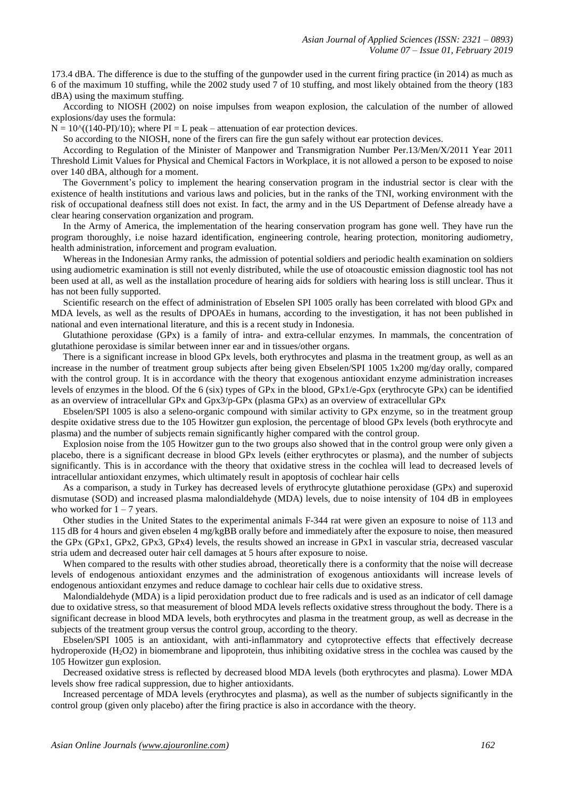173.4 dBA. The difference is due to the stuffing of the gunpowder used in the current firing practice (in 2014) as much as 6 of the maximum 10 stuffing, while the 2002 study used 7 of 10 stuffing, and most likely obtained from the theory (183 dBA) using the maximum stuffing.

According to NIOSH (2002) on noise impulses from weapon explosion, the calculation of the number of allowed explosions/day uses the formula:

 $N = 10^{\circ}((140-PI)/10)$ ; where PI = L peak – attenuation of ear protection devices.

So according to the NIOSH, none of the firers can fire the gun safely without ear protection devices.

According to Regulation of the Minister of Manpower and Transmigration Number Per.13/Men/X/2011 Year 2011 Threshold Limit Values for Physical and Chemical Factors in Workplace, it is not allowed a person to be exposed to noise over 140 dBA, although for a moment.

 The Government's policy to implement the hearing conservation program in the industrial sector is clear with the existence of health institutions and various laws and policies, but in the ranks of the TNI, working environment with the risk of occupational deafness still does not exist. In fact, the army and in the US Department of Defense already have a clear hearing conservation organization and program.

In the Army of America, the implementation of the hearing conservation program has gone well. They have run the program thoroughly, i.e noise hazard identification, engineering controle, hearing protection, monitoring audiometry, health administration, inforcement and program evaluation.

 Whereas in the Indonesian Army ranks, the admission of potential soldiers and periodic health examination on soldiers using audiometric examination is still not evenly distributed, while the use of otoacoustic emission diagnostic tool has not been used at all, as well as the installation procedure of hearing aids for soldiers with hearing loss is still unclear. Thus it has not been fully supported.

Scientific research on the effect of administration of Ebselen SPI 1005 orally has been correlated with blood GPx and MDA levels, as well as the results of DPOAEs in humans, according to the investigation, it has not been published in national and even international literature, and this is a recent study in Indonesia.

 Glutathione peroxidase (GPx) is a family of intra- and extra-cellular enzymes. In mammals, the concentration of glutathione peroxidase is similar between inner ear and in tissues/other organs.

There is a significant increase in blood GPx levels, both erythrocytes and plasma in the treatment group, as well as an increase in the number of treatment group subjects after being given Ebselen/SPI 1005 1x200 mg/day orally, compared with the control group. It is in accordance with the theory that exogenous antioxidant enzyme administration increases levels of enzymes in the blood. Of the 6 (six) types of GPx in the blood, GPx1/e-Gpx (erythrocyte GPx) can be identified as an overview of intracellular GPx and Gpx3/p-GPx (plasma GPx) as an overview of extracellular GPx

 Ebselen/SPI 1005 is also a seleno-organic compound with similar activity to GPx enzyme, so in the treatment group despite oxidative stress due to the 105 Howitzer gun explosion, the percentage of blood GPx levels (both erythrocyte and plasma) and the number of subjects remain significantly higher compared with the control group.

 Explosion noise from the 105 Howitzer gun to the two groups also showed that in the control group were only given a placebo, there is a significant decrease in blood GPx levels (either erythrocytes or plasma), and the number of subjects significantly. This is in accordance with the theory that oxidative stress in the cochlea will lead to decreased levels of intracellular antioxidant enzymes, which ultimately result in apoptosis of cochlear hair cells

As a comparison, a study in Turkey has decreased levels of erythrocyte glutathione peroxidase (GPx) and superoxid dismutase (SOD) and increased plasma malondialdehyde (MDA) levels, due to noise intensity of 104 dB in employees who worked for  $1 - 7$  years.

Other studies in the United States to the experimental animals F-344 rat were given an exposure to noise of 113 and 115 dB for 4 hours and given ebselen 4 mg/kgBB orally before and immediately after the exposure to noise, then measured the GPx (GPx1, GPx2, GPx3, GPx4) levels, the results showed an increase in GPx1 in vascular stria, decreased vascular stria udem and decreased outer hair cell damages at 5 hours after exposure to noise.

 When compared to the results with other studies abroad, theoretically there is a conformity that the noise will decrease levels of endogenous antioxidant enzymes and the administration of exogenous antioxidants will increase levels of endogenous antioxidant enzymes and reduce damage to cochlear hair cells due to oxidative stress.

Malondialdehyde (MDA) is a lipid peroxidation product due to free radicals and is used as an indicator of cell damage due to oxidative stress, so that measurement of blood MDA levels reflects oxidative stress throughout the body. There is a significant decrease in blood MDA levels, both erythrocytes and plasma in the treatment group, as well as decrease in the subjects of the treatment group versus the control group, according to the theory.

Ebselen/SPI 1005 is an antioxidant, with anti-inflammatory and cytoprotective effects that effectively decrease hydroperoxide  $(H<sub>2</sub>O2)$  in biomembrane and lipoprotein, thus inhibiting oxidative stress in the cochlea was caused by the 105 Howitzer gun explosion.

Decreased oxidative stress is reflected by decreased blood MDA levels (both erythrocytes and plasma). Lower MDA levels show free radical suppression, due to higher antioxidants.

Increased percentage of MDA levels (erythrocytes and plasma), as well as the number of subjects significantly in the control group (given only placebo) after the firing practice is also in accordance with the theory.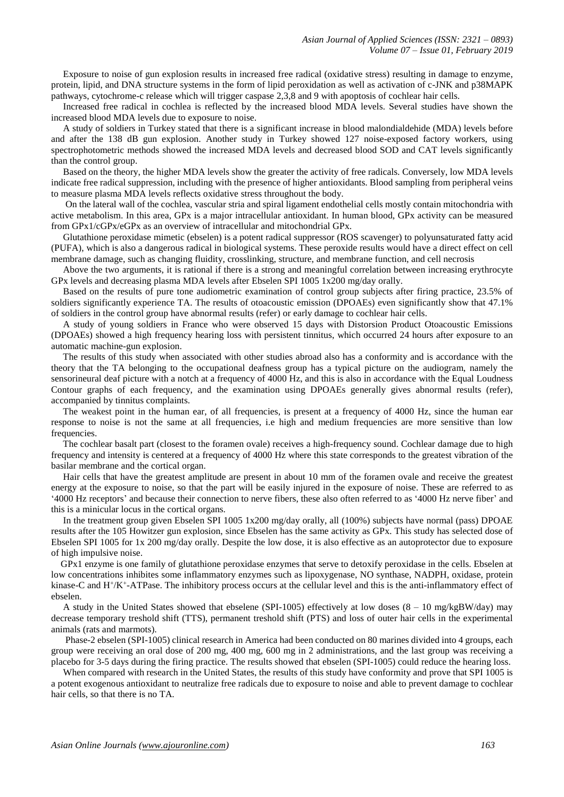Exposure to noise of gun explosion results in increased free radical (oxidative stress) resulting in damage to enzyme, protein, lipid, and DNA structure systems in the form of lipid peroxidation as well as activation of c-JNK and p38MAPK pathways, cytochrome-c release which will trigger caspase 2,3,8 and 9 with apoptosis of cochlear hair cells.

Increased free radical in cochlea is reflected by the increased blood MDA levels. Several studies have shown the increased blood MDA levels due to exposure to noise.

A study of soldiers in Turkey stated that there is a significant increase in blood malondialdehide (MDA) levels before and after the 138 dB gun explosion. Another study in Turkey showed 127 noise-exposed factory workers, using spectrophotometric methods showed the increased MDA levels and decreased blood SOD and CAT levels significantly than the control group.

Based on the theory, the higher MDA levels show the greater the activity of free radicals. Conversely, low MDA levels indicate free radical suppression, including with the presence of higher antioxidants. Blood sampling from peripheral veins to measure plasma MDA levels reflects oxidative stress throughout the body.

 On the lateral wall of the cochlea, vascular stria and spiral ligament endothelial cells mostly contain mitochondria with active metabolism. In this area, GPx is a major intracellular antioxidant. In human blood, GPx activity can be measured from GPx1/cGPx/eGPx as an overview of intracellular and mitochondrial GPx.

Glutathione peroxidase mimetic (ebselen) is a potent radical suppressor (ROS scavenger) to polyunsaturated fatty acid (PUFA), which is also a dangerous radical in biological systems. These peroxide results would have a direct effect on cell membrane damage, such as changing fluidity, crosslinking, structure, and membrane function, and cell necrosis

Above the two arguments, it is rational if there is a strong and meaningful correlation between increasing erythrocyte GPx levels and decreasing plasma MDA levels after Ebselen SPI 1005 1x200 mg/day orally.

 Based on the results of pure tone audiometric examination of control group subjects after firing practice, 23.5% of soldiers significantly experience TA. The results of otoacoustic emission (DPOAEs) even significantly show that 47.1% of soldiers in the control group have abnormal results (refer) or early damage to cochlear hair cells.

A study of young soldiers in France who were observed 15 days with Distorsion Product Otoacoustic Emissions (DPOAEs) showed a high frequency hearing loss with persistent tinnitus, which occurred 24 hours after exposure to an automatic machine-gun explosion.

 The results of this study when associated with other studies abroad also has a conformity and is accordance with the theory that the TA belonging to the occupational deafness group has a typical picture on the audiogram, namely the sensorineural deaf picture with a notch at a frequency of 4000 Hz, and this is also in accordance with the Equal Loudness Contour graphs of each frequency, and the examination using DPOAEs generally gives abnormal results (refer), accompanied by tinnitus complaints.

The weakest point in the human ear, of all frequencies, is present at a frequency of 4000 Hz, since the human ear response to noise is not the same at all frequencies, i.e high and medium frequencies are more sensitive than low frequencies.

The cochlear basalt part (closest to the foramen ovale) receives a high-frequency sound. Cochlear damage due to high frequency and intensity is centered at a frequency of 4000 Hz where this state corresponds to the greatest vibration of the basilar membrane and the cortical organ.

 Hair cells that have the greatest amplitude are present in about 10 mm of the foramen ovale and receive the greatest energy at the exposure to noise, so that the part will be easily injured in the exposure of noise. These are referred to as '4000 Hz receptors' and because their connection to nerve fibers, these also often referred to as '4000 Hz nerve fiber' and this is a minicular locus in the cortical organs.

In the treatment group given Ebselen SPI 1005 1x200 mg/day orally, all (100%) subjects have normal (pass) DPOAE results after the 105 Howitzer gun explosion, since Ebselen has the same activity as GPx. This study has selected dose of Ebselen SPI 1005 for 1x 200 mg/day orally. Despite the low dose, it is also effective as an autoprotector due to exposure of high impulsive noise.

 GPx1 enzyme is one family of glutathione peroxidase enzymes that serve to detoxify peroxidase in the cells. Ebselen at low concentrations inhibites some inflammatory enzymes such as lipoxygenase, NO synthase, NADPH, oxidase, protein kinase-C and H<sup>+</sup>/K<sup>+</sup>-ATPase. The inhibitory process occurs at the cellular level and this is the anti-inflammatory effect of ebselen.

A study in the United States showed that ebselene (SPI-1005) effectively at low doses  $(8 - 10 \text{ mg/kgBW/day})$  may decrease temporary treshold shift (TTS), permanent treshold shift (PTS) and loss of outer hair cells in the experimental animals (rats and marmots).

 Phase-2 ebselen (SPI-1005) clinical research in America had been conducted on 80 marines divided into 4 groups, each group were receiving an oral dose of 200 mg, 400 mg, 600 mg in 2 administrations, and the last group was receiving a placebo for 3-5 days during the firing practice. The results showed that ebselen (SPI-1005) could reduce the hearing loss.

When compared with research in the United States, the results of this study have conformity and prove that SPI 1005 is a potent exogenous antioxidant to neutralize free radicals due to exposure to noise and able to prevent damage to cochlear hair cells, so that there is no TA.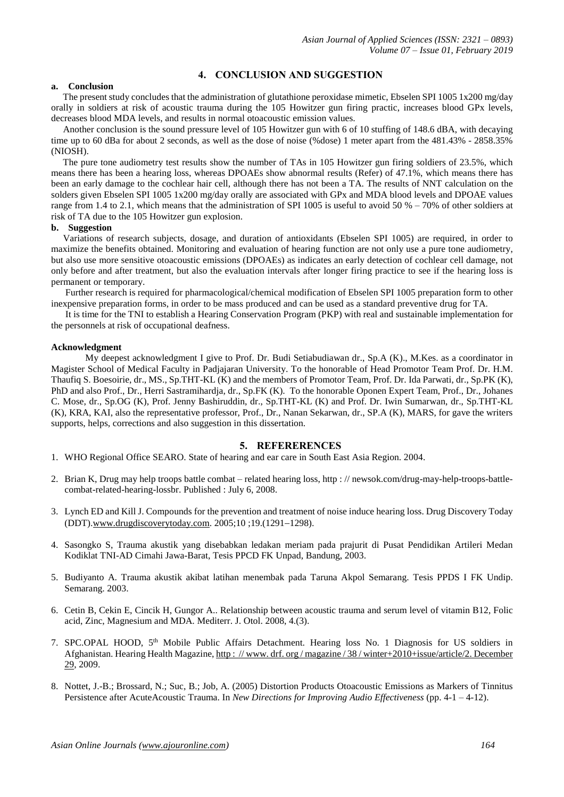# **4. CONCLUSION AND SUGGESTION**

#### **a. Conclusion**

 The present study concludes that the administration of glutathione peroxidase mimetic, Ebselen SPI 1005 1x200 mg/day orally in soldiers at risk of acoustic trauma during the 105 Howitzer gun firing practic, increases blood GPx levels, decreases blood MDA levels, and results in normal otoacoustic emission values.

Another conclusion is the sound pressure level of 105 Howitzer gun with 6 of 10 stuffing of 148.6 dBA, with decaying time up to 60 dBa for about 2 seconds, as well as the dose of noise (%dose) 1 meter apart from the 481.43% - 2858.35% (NIOSH).

 The pure tone audiometry test results show the number of TAs in 105 Howitzer gun firing soldiers of 23.5%, which means there has been a hearing loss, whereas DPOAEs show abnormal results (Refer) of 47.1%, which means there has been an early damage to the cochlear hair cell, although there has not been a TA. The results of NNT calculation on the solders given Ebselen SPI 1005 1x200 mg/day orally are associated with GPx and MDA blood levels and DPOAE values range from 1.4 to 2.1, which means that the administration of SPI 1005 is useful to avoid 50 % – 70% of other soldiers at risk of TA due to the 105 Howitzer gun explosion.

## **b. Suggestion**

 Variations of research subjects, dosage, and duration of antioxidants (Ebselen SPI 1005) are required, in order to maximize the benefits obtained. Monitoring and evaluation of hearing function are not only use a pure tone audiometry, but also use more sensitive otoacoustic emissions (DPOAEs) as indicates an early detection of cochlear cell damage, not only before and after treatment, but also the evaluation intervals after longer firing practice to see if the hearing loss is permanent or temporary.

Further research is required for pharmacological/chemical modification of Ebselen SPI 1005 preparation form to other inexpensive preparation forms, in order to be mass produced and can be used as a standard preventive drug for TA.

It is time for the TNI to establish a Hearing Conservation Program (PKP) with real and sustainable implementation for the personnels at risk of occupational deafness.

## **Acknowledgment**

My deepest acknowledgment I give to Prof. Dr. Budi Setiabudiawan dr., Sp.A (K)., M.Kes. as a coordinator in Magister School of Medical Faculty in Padjajaran University. To the honorable of Head Promotor Team Prof. Dr. H.M. Thaufiq S. Boesoirie, dr., MS., Sp.THT-KL (K) and the members of Promotor Team, Prof. Dr. Ida Parwati, dr., Sp.PK (K), PhD and also Prof., Dr., Herri Sastramihardja, dr., Sp.FK (K). To the honorable Oponen Expert Team, Prof., Dr., Johanes C. Mose, dr., Sp.OG (K), Prof. Jenny Bashiruddin, dr., Sp.THT-KL (K) and Prof. Dr. Iwin Sumarwan, dr., Sp.THT-KL (K), KRA, KAI, also the representative professor, Prof., Dr., Nanan Sekarwan, dr., SP.A (K), MARS, for gave the writers supports, helps, corrections and also suggestion in this dissertation.

# **5. REFERERENCES**

- 1. WHO Regional Office SEARO. State of hearing and ear care in South East Asia Region. 2004.
- 2. Brian K, Drug may help troops battle combat related hearing loss, http : // newsok.com/drug-may-help-troops-battlecombat-related-hearing-lossbr. Published : July 6, 2008.
- 3. Lynch ED and Kill J. Compounds for the prevention and treatment of noise induce hearing loss. Drug Discovery Today (DDT)[.www.drugdiscoverytoday.com.](http://www.drugdiscoverytoday.com/) 2005;10 ;19.(1291-1298).
- 4. Sasongko S, Trauma akustik yang disebabkan ledakan meriam pada prajurit di Pusat Pendidikan Artileri Medan Kodiklat TNI-AD Cimahi Jawa-Barat, Tesis PPCD FK Unpad, Bandung, 2003.
- 5. Budiyanto A. Trauma akustik akibat latihan menembak pada Taruna Akpol Semarang. Tesis PPDS I FK Undip. Semarang. 2003.
- 6. Cetin B, Cekin E, Cincik H, Gungor A.. Relationship between acoustic trauma and serum level of vitamin B12, Folic acid, Zinc, Magnesium and MDA. Mediterr. J. Otol. 2008, 4.(3).
- 7. SPC.OPAL HOOD, 5<sup>th</sup> Mobile Public Affairs Detachment. Hearing loss No. 1 Diagnosis for US soldiers in Afghanistan. Hearing Health Magazine, http://www.drf.org/magazine/38/[winter+2010+issue/article/2.](http://www.drf.org/magazine/38/winter+2010+issue/article/2.%20December%2029) December [29,](http://www.drf.org/magazine/38/winter+2010+issue/article/2.%20December%2029) 2009.
- 8. Nottet, J.-B.; Brossard, N.; Suc, B.; Job, A. (2005) Distortion Products Otoacoustic Emissions as Markers of Tinnitus Persistence after AcuteAcoustic Trauma. In *New Directions for Improving Audio Effectiveness* (pp. 4-1 – 4-12).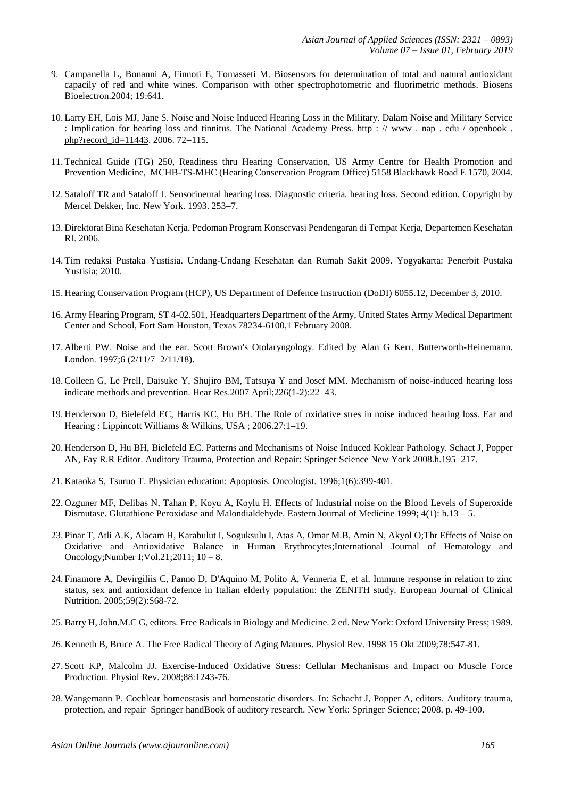- 9. Campanella L, Bonanni A, Finnoti E, Tomasseti M. Biosensors for determination of total and natural antioxidant capacily of red and white wines. Comparison with other spectrophotometric and fluorimetric methods. Biosens Bioelectron.2004; 19:641.
- 10. Larry EH, Lois MJ, Jane S. Noise and Noise Induced Hearing Loss in the Military. Dalam Noise and Military Service : Implication for hearing loss and tinnitus. The National Academy Press. http://www.nap.edu/[openbook](http://www.nap.edu/openbook.php?record_id=11443). [php?record\\_id=11443.](http://www.nap.edu/openbook.php?record_id=11443) 2006. 72-115.
- 11. Technical Guide (TG) 250, Readiness thru Hearing Conservation, US Army Centre for Health Promotion and Prevention Medicine, MCHB-TS-MHC (Hearing Conservation Program Office) 5158 Blackhawk Road E 1570, 2004.
- 12. Sataloff TR and Sataloff J. Sensorineural hearing loss. Diagnostic criteria*.* hearing loss. Second edition. Copyright by Mercel Dekker, Inc. New York. 1993. 253-7.
- 13. Direktorat Bina Kesehatan Kerja. Pedoman Program Konservasi Pendengaran di Tempat Kerja, Departemen Kesehatan RI. 2006.
- 14. Tim redaksi Pustaka Yustisia. Undang-Undang Kesehatan dan Rumah Sakit 2009. Yogyakarta: Penerbit Pustaka Yustisia; 2010.
- 15. Hearing Conservation Program (HCP), US Department of Defence Instruction (DoDI) 6055.12, December 3, 2010.
- 16. Army Hearing Program, ST 4-02.501, Headquarters Department of the Army, United States Army Medical Department Center and School, Fort Sam Houston, Texas 78234-6100,1 February 2008.
- 17. Alberti PW. Noise and the ear. Scott Brown's Otolaryngology. Edited by Alan G Kerr. Butterworth-Heinemann. London. 1997;6 (2/11/7-2/11/18).
- 18.Colleen G, Le Prell, Daisuke Y, Shujiro BM, Tatsuya Y and Josef MM. Mechanism of noise-induced hearing loss indicate methods and prevention. Hear Res.2007 April; 226(1-2): 22–43.
- 19. Henderson D, Bielefeld EC, Harris KC, Hu BH. The Role of oxidative stres in noise induced hearing loss*.* Ear and Hearing : Lippincott Williams & Wilkins, USA ; 2006.27:1-19.
- 20. Henderson D, Hu BH, Bielefeld EC. Patterns and Mechanisms of Noise Induced Koklear Pathology. Schact J, Popper AN, Fay R.R Editor. Auditory Trauma, Protection and Repair: Springer Science New York 2008.h.195-217.
- 21. Kataoka S, Tsuruo T. Physician education: Apoptosis. Oncologist. 1996;1(6):399-401.
- 22. Ozguner MF, Delibas N, Tahan P, Koyu A, Koylu H. Effects of Industrial noise on the Blood Levels of Superoxide Dismutase. Glutathione Peroxidase and Malondialdehyde. Eastern Journal of Medicine 1999; 4(1): h.13 – 5.
- 23. Pinar T, Atli A.K, Alacam H, Karabulut I, Soguksulu I, Atas A, Omar M.B, Amin N, Akyol O;Thr Effects of Noise on Oxidative and Antioxidative Balance in Human Erythrocytes;International Journal of Hematology and Oncology;Number I;Vol.21;2011; 10 – 8.
- 24. Finamore A, Devirgiliis C, Panno D, D'Aquino M, Polito A, Venneria E, et al. Immune response in relation to zinc status, sex and antioxidant defence in Italian elderly population: the ZENITH study. European Journal of Clinical Nutrition. 2005;59(2):S68-72.
- 25.Barry H, John.M.C G, editors. Free Radicals in Biology and Medicine. 2 ed. New York: Oxford University Press; 1989.
- 26. Kenneth B, Bruce A. The Free Radical Theory of Aging Matures. Physiol Rev. 1998 15 Okt 2009;78:547-81.
- 27. Scott KP, Malcolm JJ. Exercise-Induced Oxidative Stress: Cellular Mechanisms and Impact on Muscle Force Production. Physiol Rev. 2008;88:1243-76.
- 28. Wangemann P. Cochlear homeostasis and homeostatic disorders. In: Schacht J, Popper A, editors. Auditory trauma, protection, and repair Springer handBook of auditory research. New York: Springer Science; 2008. p. 49-100.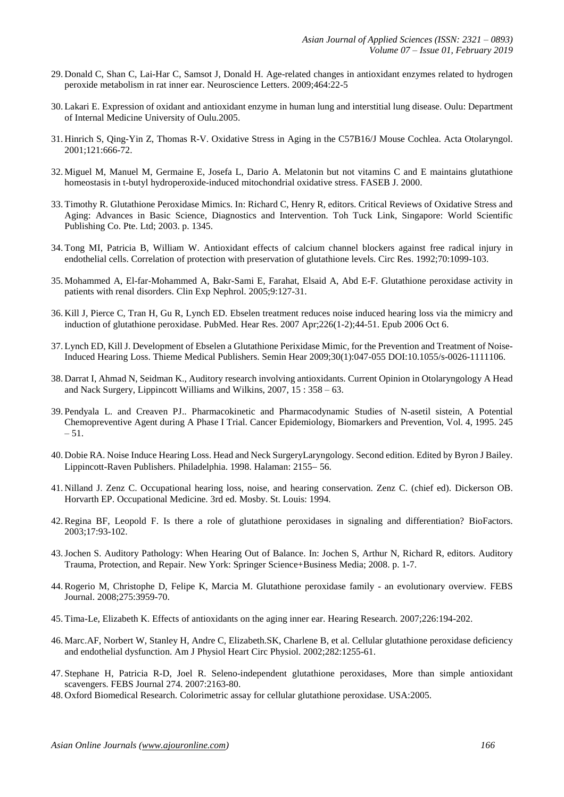- 29. Donald C, Shan C, Lai-Har C, Samsot J, Donald H. Age-related changes in antioxidant enzymes related to hydrogen peroxide metabolism in rat inner ear. Neuroscience Letters. 2009;464:22-5
- 30. Lakari E. Expression of oxidant and antioxidant enzyme in human lung and interstitial lung disease. Oulu: Department of Internal Medicine University of Oulu.2005.
- 31. Hinrich S, Qing-Yin Z, Thomas R-V. Oxidative Stress in Aging in the C57B16/J Mouse Cochlea. Acta Otolaryngol. 2001;121:666-72.
- 32. Miguel M, Manuel M, Germaine E, Josefa L, Dario A. Melatonin but not vitamins C and E maintains glutathione homeostasis in t-butyl hydroperoxide-induced mitochondrial oxidative stress. FASEB J. 2000.
- 33. Timothy R. Glutathione Peroxidase Mimics. In: Richard C, Henry R, editors. Critical Reviews of Oxidative Stress and Aging: Advances in Basic Science, Diagnostics and Intervention. Toh Tuck Link, Singapore: World Scientific Publishing Co. Pte. Ltd; 2003. p. 1345.
- 34. Tong MI, Patricia B, William W. Antioxidant effects of calcium channel blockers against free radical injury in endothelial cells. Correlation of protection with preservation of glutathione levels. Circ Res. 1992;70:1099-103.
- 35. Mohammed A, El-far-Mohammed A, Bakr-Sami E, Farahat, Elsaid A, Abd E-F. Glutathione peroxidase activity in patients with renal disorders. Clin Exp Nephrol. 2005;9:127-31.
- 36. Kill J, Pierce C, Tran H, Gu R, Lynch ED. Ebselen treatment reduces noise induced hearing loss via the mimicry and induction of glutathione peroxidase. PubMed. Hear Res. 2007 Apr;226(1-2);44-51. Epub 2006 Oct 6.
- 37. Lynch ED, Kill J. Development of Ebselen a Glutathione Perixidase Mimic, for the Prevention and Treatment of Noise-Induced Hearing Loss. Thieme Medical Publishers. Semin Hear 2009;30(1):047-055 DOI:10.1055/s-0026-1111106.
- 38. Darrat I, Ahmad N, Seidman K., Auditory research involving antioxidants. Current Opinion in Otolaryngology A Head and Nack Surgery, Lippincott Williams and Wilkins, 2007, 15 : 358 – 63.
- 39. Pendyala L. and Creaven PJ.. Pharmacokinetic and Pharmacodynamic Studies of N-asetil sistein, A Potential Chemopreventive Agent during A Phase I Trial. Cancer Epidemiology, Biomarkers and Prevention, Vol. 4, 1995. 245 – 51.
- 40. Dobie RA. Noise Induce Hearing Loss. Head and Neck SurgeryLaryngology. Second edition. Edited by Byron J Bailey. Lippincott-Raven Publishers. Philadelphia. 1998. Halaman: 2155-56.
- 41. Nilland J. Zenz C. Occupational hearing loss, noise, and hearing conservation. Zenz C. (chief ed). Dickerson OB. Horvarth EP. Occupational Medicine. 3rd ed. Mosby. St. Louis: 1994.
- 42.Regina BF, Leopold F. Is there a role of glutathione peroxidases in signaling and differentiation? BioFactors. 2003;17:93-102.
- 43.Jochen S. Auditory Pathology: When Hearing Out of Balance. In: Jochen S, Arthur N, Richard R, editors. Auditory Trauma, Protection, and Repair. New York: Springer Science+Business Media; 2008. p. 1-7.
- 44.Rogerio M, Christophe D, Felipe K, Marcia M. Glutathione peroxidase family an evolutionary overview. FEBS Journal. 2008;275:3959-70.
- 45. Tima-Le, Elizabeth K. Effects of antioxidants on the aging inner ear. Hearing Research. 2007;226:194-202.
- 46. Marc.AF, Norbert W, Stanley H, Andre C, Elizabeth.SK, Charlene B, et al. Cellular glutathione peroxidase deficiency and endothelial dysfunction. Am J Physiol Heart Circ Physiol. 2002;282:1255-61.
- 47. Stephane H, Patricia R-D, Joel R. Seleno-independent glutathione peroxidases, More than simple antioxidant scavengers. FEBS Journal 274. 2007:2163-80.
- 48. Oxford Biomedical Research. Colorimetric assay for cellular glutathione peroxidase. USA:2005.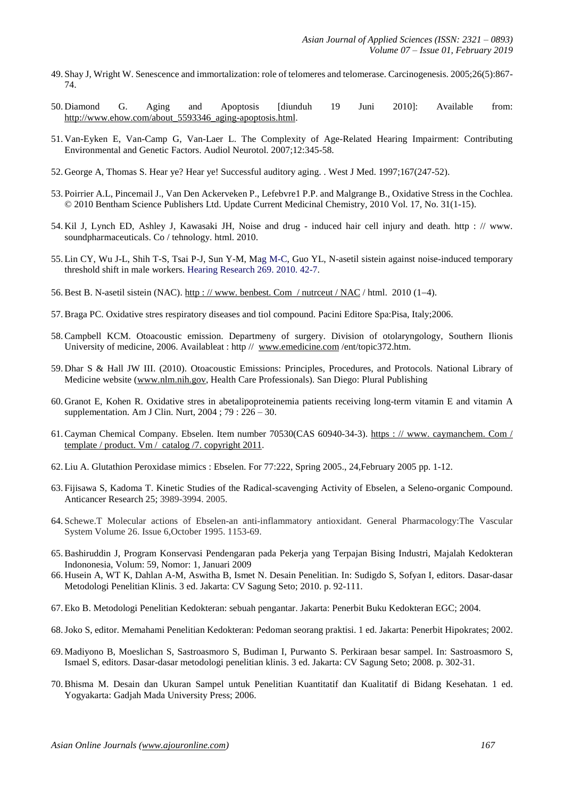- 49. Shay J, Wright W. Senescence and immortalization: role of telomeres and telomerase. Carcinogenesis. 2005;26(5):867- 74.
- 50. Diamond G. Aging and Apoptosis [diunduh 19 Juni 2010]: Available from: [http://www.ehow.com/about\\_5593346\\_aging-apoptosis.html.](http://www.ehow.com/about_5593346_aging-apoptosis.html)
- 51. Van-Eyken E, Van-Camp G, Van-Laer L. The Complexity of Age-Related Hearing Impairment: Contributing Environmental and Genetic Factors. Audiol Neurotol. 2007;12:345-58.
- 52. George A, Thomas S. Hear ye? Hear ye! Successful auditory aging. . West J Med. 1997;167(247-52).
- 53. Poirrier A.L, Pincemail J., Van Den Ackerveken P., Lefebvre1 P.P. and Malgrange B., Oxidative Stress in the Cochlea. © 2010 Bentham Science Publishers Ltd. Update Current Medicinal Chemistry*,* 2010 Vol. 17, No. 31(1-15).
- 54. Kil J, Lynch ED, Ashley J, Kawasaki JH, Noise and drug induced hair cell injury and death. http : // www. soundpharmaceuticals. Co / tehnology. html. 2010.
- 55. Lin CY, Wu J-L, Shih T-S, Tsai P-J, Sun Y-M, Mag M-C, Guo YL, N-asetil sistein against noise-induced temporary threshold shift in male workers. Hearing Research 269. 2010. 42-7.
- 56. Best B. N-asetil sistein (NAC). http://www.[benbest.](http://www.benbest.com/nutrceut/NAC) Com / nutrceut / NAC / html. 2010 (1–4).
- 57.Braga PC. Oxidative stres respiratory diseases and tiol compound. Pacini Editore Spa:Pisa, Italy;2006.
- 58.Campbell KCM. Otoacoustic emission. Departmeny of surgery. Division of otolaryngology, Southern Ilionis University of medicine, 2006. Availableat : http // [www.emedicine.com](http://www.emedicine.com/) /ent/topic372.htm.
- 59. Dhar S & Hall JW III. (2010). Otoacoustic Emissions: Principles, Procedures, and Protocols. National Library of Medicine website (www.nlm.nih.gov, Health Care Professionals). San Diego: Plural Publishing
- 60. Granot E, Kohen R. Oxidative stres in abetalipoproteinemia patients receiving long-term vitamin E and vitamin A supplementation. Am J Clin. Nurt, 2004 ; 79 : 226 – 30.
- 61.Cayman Chemical Company. Ebselen. Item number 70530(CAS 60940-34-3). https : // www. [caymanchem.](https://www.caymanchem.com/template/product.vm/catalog/7.copyright%202011) Com / template / product. Vm / catalog /7. [copyright](https://www.caymanchem.com/template/product.vm/catalog/7.copyright%202011) 2011.
- 62. Liu A. Glutathion Peroxidase mimics : Ebselen. For 77:222, Spring 2005., 24,February 2005 pp. 1-12.
- 63. Fijisawa S, Kadoma T. Kinetic Studies of the Radical-scavenging Activity of Ebselen, a Seleno-organic Compound. Anticancer Research 25; 3989-3994. 2005.
- 64. Schewe.T Molecular actions of Ebselen-an anti-inflammatory antioxidant. General Pharmacology:The Vascular System Volume 26. Issue 6,October 1995. 1153-69.
- 65.Bashiruddin J, Program Konservasi Pendengaran pada Pekerja yang Terpajan Bising Industri, Majalah Kedokteran Indononesia, Volum: 59, Nomor: 1, Januari 2009
- 66. Husein A, WT K, Dahlan A-M, Aswitha B, Ismet N. Desain Penelitian. In: Sudigdo S, Sofyan I, editors. Dasar-dasar Metodologi Penelitian Klinis. 3 ed. Jakarta: CV Sagung Seto; 2010. p. 92-111.
- 67. Eko B. Metodologi Penelitian Kedokteran: sebuah pengantar. Jakarta: Penerbit Buku Kedokteran EGC; 2004.
- 68.Joko S, editor. Memahami Penelitian Kedokteran: Pedoman seorang praktisi. 1 ed. Jakarta: Penerbit Hipokrates; 2002.
- 69. Madiyono B, Moeslichan S, Sastroasmoro S, Budiman I, Purwanto S. Perkiraan besar sampel. In: Sastroasmoro S, Ismael S, editors. Dasar-dasar metodologi penelitian klinis. 3 ed. Jakarta: CV Sagung Seto; 2008. p. 302-31.
- 70.Bhisma M. Desain dan Ukuran Sampel untuk Penelitian Kuantitatif dan Kualitatif di Bidang Kesehatan. 1 ed. Yogyakarta: Gadjah Mada University Press; 2006.